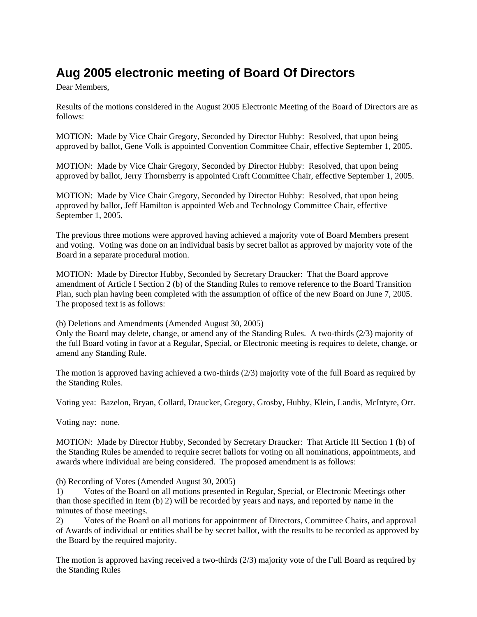## **Aug 2005 electronic meeting of Board Of Directors**

Dear Members,

Results of the motions considered in the August 2005 Electronic Meeting of the Board of Directors are as follows:

MOTION: Made by Vice Chair Gregory, Seconded by Director Hubby: Resolved, that upon being approved by ballot, Gene Volk is appointed Convention Committee Chair, effective September 1, 2005.

MOTION: Made by Vice Chair Gregory, Seconded by Director Hubby: Resolved, that upon being approved by ballot, Jerry Thornsberry is appointed Craft Committee Chair, effective September 1, 2005.

MOTION: Made by Vice Chair Gregory, Seconded by Director Hubby: Resolved, that upon being approved by ballot, Jeff Hamilton is appointed Web and Technology Committee Chair, effective September 1, 2005.

The previous three motions were approved having achieved a majority vote of Board Members present and voting. Voting was done on an individual basis by secret ballot as approved by majority vote of the Board in a separate procedural motion.

MOTION: Made by Director Hubby, Seconded by Secretary Draucker: That the Board approve amendment of Article I Section 2 (b) of the Standing Rules to remove reference to the Board Transition Plan, such plan having been completed with the assumption of office of the new Board on June 7, 2005. The proposed text is as follows:

(b) Deletions and Amendments (Amended August 30, 2005)

Only the Board may delete, change, or amend any of the Standing Rules. A two-thirds (2/3) majority of the full Board voting in favor at a Regular, Special, or Electronic meeting is requires to delete, change, or amend any Standing Rule.

The motion is approved having achieved a two-thirds (2/3) majority vote of the full Board as required by the Standing Rules.

Voting yea: Bazelon, Bryan, Collard, Draucker, Gregory, Grosby, Hubby, Klein, Landis, McIntyre, Orr.

Voting nay: none.

MOTION: Made by Director Hubby, Seconded by Secretary Draucker: That Article III Section 1 (b) of the Standing Rules be amended to require secret ballots for voting on all nominations, appointments, and awards where individual are being considered. The proposed amendment is as follows:

(b) Recording of Votes (Amended August 30, 2005)

1) Votes of the Board on all motions presented in Regular, Special, or Electronic Meetings other than those specified in Item (b) 2) will be recorded by years and nays, and reported by name in the minutes of those meetings.

2) Votes of the Board on all motions for appointment of Directors, Committee Chairs, and approval of Awards of individual or entities shall be by secret ballot, with the results to be recorded as approved by the Board by the required majority.

The motion is approved having received a two-thirds (2/3) majority vote of the Full Board as required by the Standing Rules